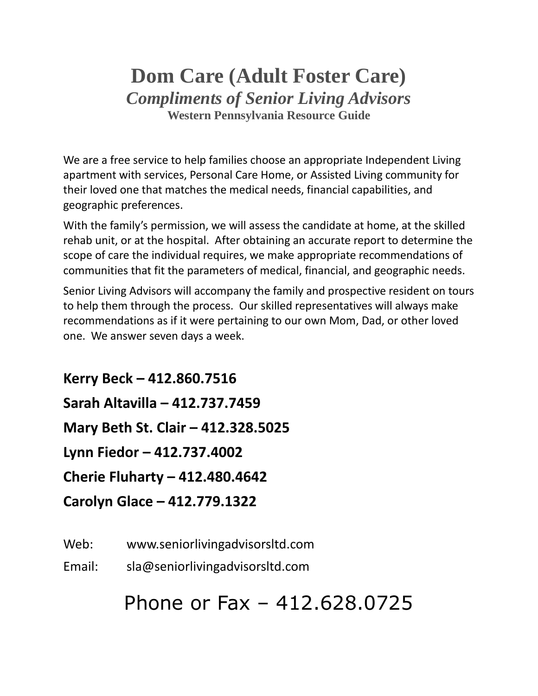# **Dom Care (Adult Foster Care)** *Compliments of Senior Living Advisors* **Western Pennsylvania Resource Guide**

We are a free service to help families choose an appropriate Independent Living apartment with services, Personal Care Home, or Assisted Living community for their loved one that matches the medical needs, financial capabilities, and geographic preferences.

With the family's permission, we will assess the candidate at home, at the skilled rehab unit, or at the hospital. After obtaining an accurate report to determine the scope of care the individual requires, we make appropriate recommendations of communities that fit the parameters of medical, financial, and geographic needs.

Senior Living Advisors will accompany the family and prospective resident on tours to help them through the process. Our skilled representatives will always make recommendations as if it were pertaining to our own Mom, Dad, or other loved one. We answer seven days a week.

**Kerry Beck – 412.860.7516 Sarah Altavilla – 412.737.7459 Mary Beth St. Clair – 412.328.5025 Lynn Fiedor – 412.737.4002 Cherie Fluharty – 412.480.4642 Carolyn Glace – 412.779.1322**

Web: www.seniorlivingadvisorsltd.com

Email: sla@seniorlivingadvisorsltd.com

# Phone or Fax – 412.628.0725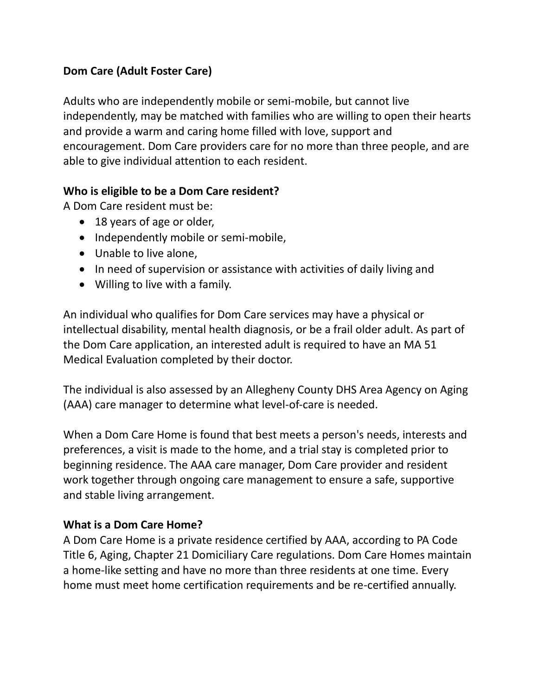# **Dom Care (Adult Foster Care)**

Adults who are independently mobile or semi-mobile, but cannot live independently, may be matched with families who are willing to open their hearts and provide a warm and caring home filled with love, support and encouragement. Dom Care providers care for no more than three people, and are able to give individual attention to each resident.

## **Who is eligible to be a Dom Care resident?**

A Dom Care resident must be:

- 18 years of age or older,
- Independently mobile or semi-mobile,
- Unable to live alone,
- In need of supervision or assistance with activities of daily living and
- Willing to live with a family.

An individual who qualifies for Dom Care services may have a physical or intellectual disability, mental health diagnosis, or be a frail older adult. As part of the Dom Care application, an interested adult is required to have an MA 51 Medical Evaluation completed by their doctor.

The individual is also assessed by an Allegheny County DHS Area Agency on Aging (AAA) care manager to determine what level-of-care is needed.

When a Dom Care Home is found that best meets a person's needs, interests and preferences, a visit is made to the home, and a trial stay is completed prior to beginning residence. The AAA care manager, Dom Care provider and resident work together through ongoing care management to ensure a safe, supportive and stable living arrangement.

#### **What is a Dom Care Home?**

A Dom Care Home is a private residence certified by AAA, according to PA Code Title 6, Aging, Chapter 21 Domiciliary Care regulations. Dom Care Homes maintain a home-like setting and have no more than three residents at one time. Every home must meet home certification requirements and be re-certified annually.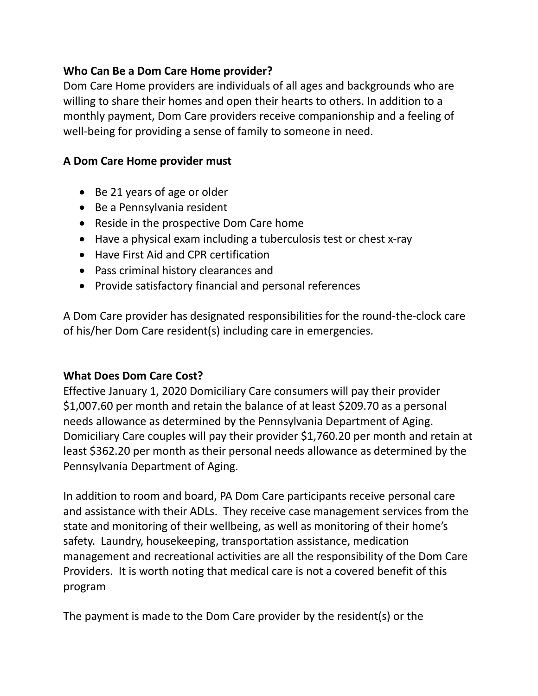# **Who Can Be a Dom Care Home provider?**

Dom Care Home providers are individuals of all ages and backgrounds who are willing to share their homes and open their hearts to others. In addition to a monthly payment, Dom Care providers receive companionship and a feeling of well-being for providing a sense of family to someone in need.

# **A Dom Care Home provider must**

- Be 21 years of age or older
- Be a Pennsylvania resident
- Reside in the prospective Dom Care home
- Have a physical exam including a tuberculosis test or chest x-ray
- Have First Aid and CPR certification
- Pass criminal history clearances and
- Provide satisfactory financial and personal references

A Dom Care provider has designated responsibilities for the round-the-clock care of his/her Dom Care resident(s) including care in emergencies.

# **What Does Dom Care Cost?**

Effective January 1, 2020 Domiciliary Care consumers will pay their provider \$1,007.60 per month and retain the balance of at least \$209.70 as a personal needs allowance as determined by the Pennsylvania Department of Aging. Domiciliary Care couples will pay their provider \$1,760.20 per month and retain at least \$362.20 per month as their personal needs allowance as determined by the Pennsylvania Department of Aging.

In addition to room and board, PA Dom Care participants receive personal care and assistance with their ADLs. They receive case management services from the state and monitoring of their wellbeing, as well as monitoring of their home's safety. Laundry, housekeeping, transportation assistance, medication management and recreational activities are all the responsibility of the Dom Care Providers. It is worth noting that medical care is not a covered benefit of this program

The payment is made to the Dom Care provider by the resident(s) or the